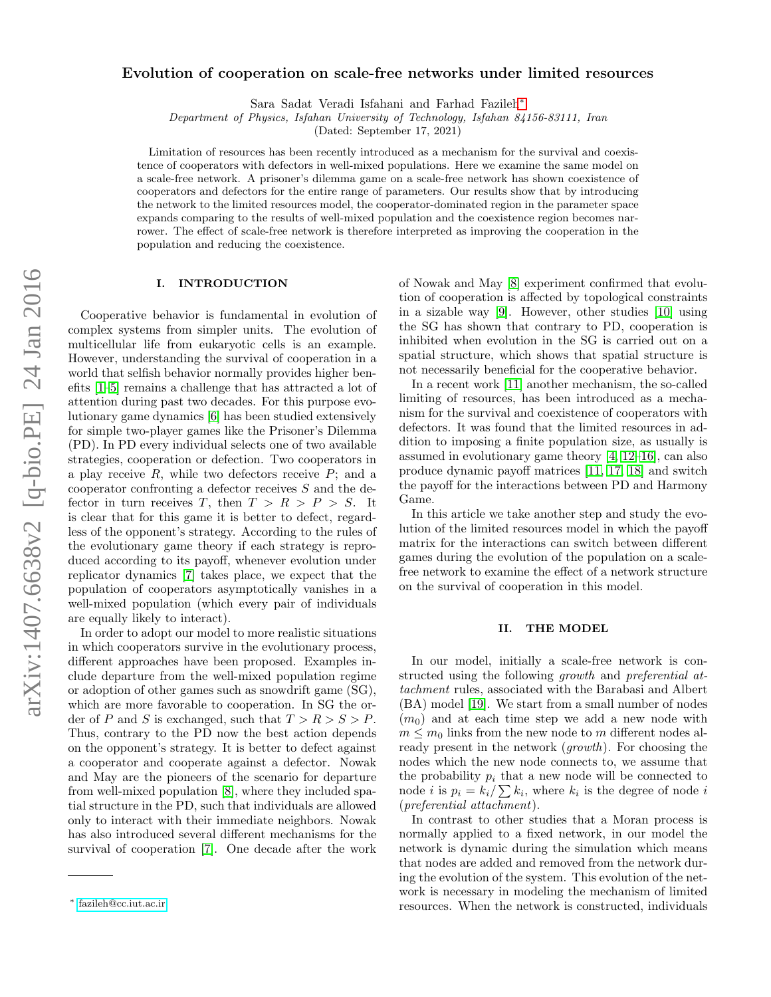# arXiv:1407.6638v2 [q-bio.PE] 24 Jan 2016 arXiv:1407.6638v2 [q-bio.PE] 24 Jan 2016

# Evolution of cooperation on scale-free networks under limited resources

Sara Sadat Veradi Isfahani and Farhad Fazileh[∗](#page-0-0)

Department of Physics, Isfahan University of Technology, Isfahan 84156-83111, Iran

(Dated: September 17, 2021)

Limitation of resources has been recently introduced as a mechanism for the survival and coexistence of cooperators with defectors in well-mixed populations. Here we examine the same model on a scale-free network. A prisoner's dilemma game on a scale-free network has shown coexistence of cooperators and defectors for the entire range of parameters. Our results show that by introducing the network to the limited resources model, the cooperator-dominated region in the parameter space expands comparing to the results of well-mixed population and the coexistence region becomes narrower. The effect of scale-free network is therefore interpreted as improving the cooperation in the population and reducing the coexistence.

# I. INTRODUCTION

Cooperative behavior is fundamental in evolution of complex systems from simpler units. The evolution of multicellular life from eukaryotic cells is an example. However, understanding the survival of cooperation in a world that selfish behavior normally provides higher benefits [\[1–](#page-4-0)[5\]](#page-4-1) remains a challenge that has attracted a lot of attention during past two decades. For this purpose evolutionary game dynamics [\[6\]](#page-4-2) has been studied extensively for simple two-player games like the Prisoner's Dilemma (PD). In PD every individual selects one of two available strategies, cooperation or defection. Two cooperators in a play receive  $R$ , while two defectors receive  $P$ ; and a cooperator confronting a defector receives S and the defector in turn receives T, then  $T > R > P > S$ . It is clear that for this game it is better to defect, regardless of the opponent's strategy. According to the rules of the evolutionary game theory if each strategy is reproduced according to its payoff, whenever evolution under replicator dynamics [\[7\]](#page-4-3) takes place, we expect that the population of cooperators asymptotically vanishes in a well-mixed population (which every pair of individuals are equally likely to interact).

In order to adopt our model to more realistic situations in which cooperators survive in the evolutionary process, different approaches have been proposed. Examples include departure from the well-mixed population regime or adoption of other games such as snowdrift game (SG), which are more favorable to cooperation. In SG the order of P and S is exchanged, such that  $T > R > S > P$ . Thus, contrary to the PD now the best action depends on the opponent's strategy. It is better to defect against a cooperator and cooperate against a defector. Nowak and May are the pioneers of the scenario for departure from well-mixed population [\[8\]](#page-4-4), where they included spatial structure in the PD, such that individuals are allowed only to interact with their immediate neighbors. Nowak has also introduced several different mechanisms for the survival of cooperation [\[7\]](#page-4-3). One decade after the work

of Nowak and May [\[8\]](#page-4-4) experiment confirmed that evolution of cooperation is affected by topological constraints in a sizable way [\[9\]](#page-4-5). However, other studies [\[10\]](#page-4-6) using the SG has shown that contrary to PD, cooperation is inhibited when evolution in the SG is carried out on a spatial structure, which shows that spatial structure is not necessarily beneficial for the cooperative behavior.

In a recent work [\[11\]](#page-4-7) another mechanism, the so-called limiting of resources, has been introduced as a mechanism for the survival and coexistence of cooperators with defectors. It was found that the limited resources in addition to imposing a finite population size, as usually is assumed in evolutionary game theory [\[4,](#page-4-8) [12](#page-4-9)[–16\]](#page-4-10), can also produce dynamic payoff matrices [\[11,](#page-4-7) [17,](#page-4-11) [18\]](#page-4-12) and switch the payoff for the interactions between PD and Harmony Game.

In this article we take another step and study the evolution of the limited resources model in which the payoff matrix for the interactions can switch between different games during the evolution of the population on a scalefree network to examine the effect of a network structure on the survival of cooperation in this model.

### II. THE MODEL

In our model, initially a scale-free network is constructed using the following growth and preferential attachment rules, associated with the Barabasi and Albert (BA) model [\[19\]](#page-4-13). We start from a small number of nodes  $(m_0)$  and at each time step we add a new node with  $m \leq m_0$  links from the new node to m different nodes already present in the network (*growth*). For choosing the nodes which the new node connects to, we assume that the probability  $p_i$  that a new node will be connected to node *i* is  $p_i = k_i / \sum_k k_i$ , where  $k_i$  is the degree of node *i* (preferential attachment).

In contrast to other studies that a Moran process is normally applied to a fixed network, in our model the network is dynamic during the simulation which means that nodes are added and removed from the network during the evolution of the system. This evolution of the network is necessary in modeling the mechanism of limited resources. When the network is constructed, individuals

<span id="page-0-0"></span><sup>∗</sup> [fazileh@cc.iut.ac.ir](mailto:fazileh@cc.iut.ac.ir)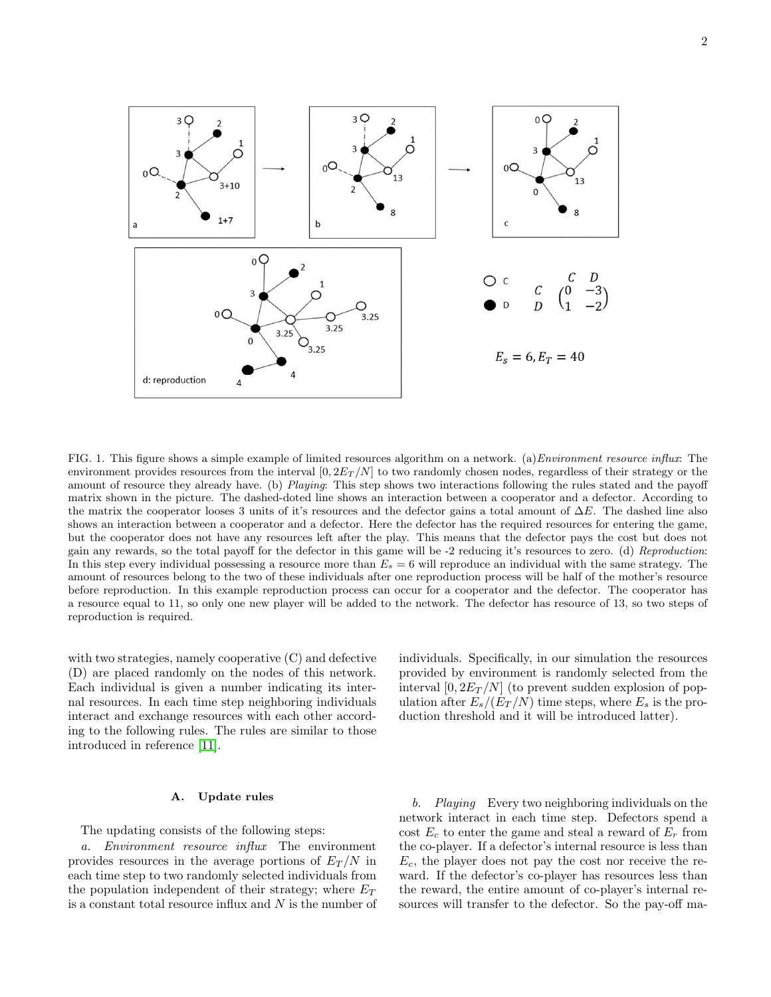

<span id="page-1-0"></span>FIG. 1. This figure shows a simple example of limited resources algorithm on a network. (a) *Environment resource influx*: The environment provides resources from the interval  $[0, 2E_T/N]$  to two randomly chosen nodes, regardless of their strategy or the amount of resource they already have. (b) Playing: This step shows two interactions following the rules stated and the payoff matrix shown in the picture. The dashed-doted line shows an interaction between a cooperator and a defector. According to the matrix the cooperator looses 3 units of it's resources and the defector gains a total amount of  $\Delta E$ . The dashed line also shows an interaction between a cooperator and a defector. Here the defector has the required resources for entering the game, but the cooperator does not have any resources left after the play. This means that the defector pays the cost but does not gain any rewards, so the total payoff for the defector in this game will be -2 reducing it's resources to zero. (d) Reproduction: In this step every individual possessing a resource more than  $E_s = 6$  will reproduce an individual with the same strategy. The amount of resources belong to the two of these individuals after one reproduction process will be half of the mother's resource before reproduction. In this example reproduction process can occur for a cooperator and the defector. The cooperator has a resource equal to 11, so only one new player will be added to the network. The defector has resource of 13, so two steps of reproduction is required.

with two strategies, namely cooperative (C) and defective (D) are placed randomly on the nodes of this network. Each individual is given a number indicating its internal resources. In each time step neighboring individuals interact and exchange resources with each other according to the following rules. The rules are similar to those introduced in reference [\[11\]](#page-4-7).

### A. Update rules

The updating consists of the following steps:

a. Environment resource influx The environment provides resources in the average portions of  $E_T/N$  in each time step to two randomly selected individuals from the population independent of their strategy; where  $E_T$ is a constant total resource influx and N is the number of individuals. Specifically, in our simulation the resources provided by environment is randomly selected from the interval  $[0, 2E_T/N]$  (to prevent sudden explosion of population after  $E_s/(E_T/N)$  time steps, where  $E_s$  is the production threshold and it will be introduced latter).

b. Playing Every two neighboring individuals on the network interact in each time step. Defectors spend a cost  $E_c$  to enter the game and steal a reward of  $E_r$  from the co-player. If a defector's internal resource is less than  $E_c$ , the player does not pay the cost nor receive the reward. If the defector's co-player has resources less than the reward, the entire amount of co-player's internal resources will transfer to the defector. So the pay-off ma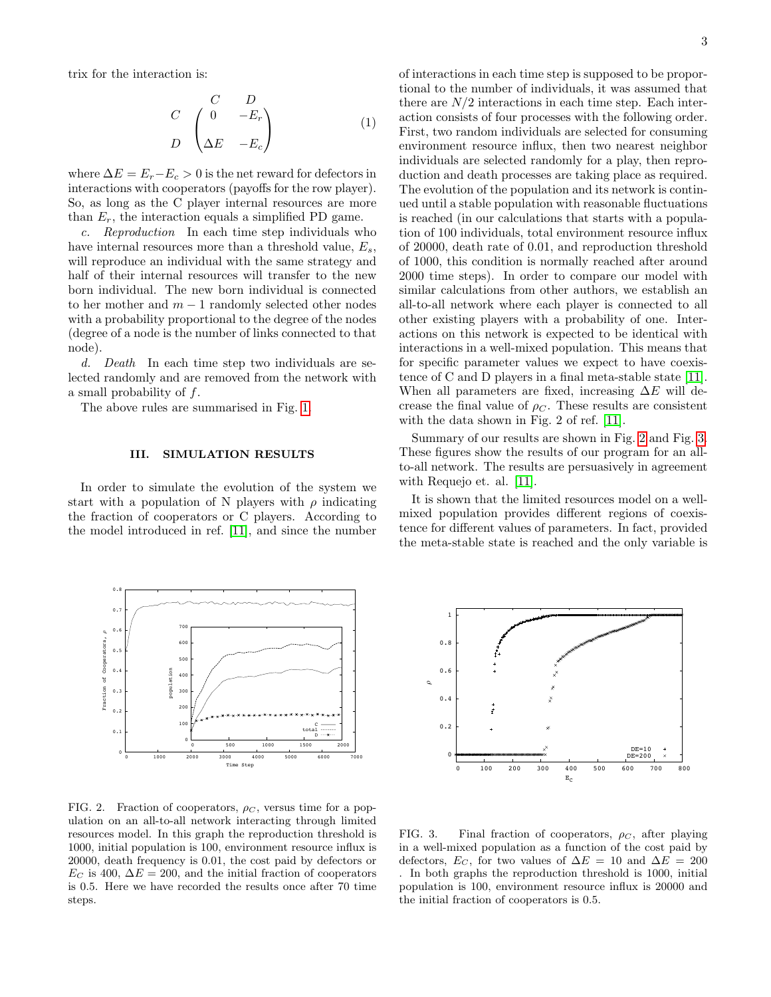trix for the interaction is:

$$
\begin{array}{ccc}\nC & D \\
C & \begin{pmatrix}\n0 & -E_r \\
\Delta E & -E_c\n\end{pmatrix}\n\end{array}
$$
\n(1)

where  $\Delta E = E_r - E_c > 0$  is the net reward for defectors in interactions with cooperators (payoffs for the row player). So, as long as the C player internal resources are more than  $E_r$ , the interaction equals a simplified PD game.

c. Reproduction In each time step individuals who have internal resources more than a threshold value,  $E_s$ , will reproduce an individual with the same strategy and half of their internal resources will transfer to the new born individual. The new born individual is connected to her mother and  $m-1$  randomly selected other nodes with a probability proportional to the degree of the nodes (degree of a node is the number of links connected to that node).

d. Death In each time step two individuals are selected randomly and are removed from the network with a small probability of f.

The above rules are summarised in Fig. [1.](#page-1-0)

# III. SIMULATION RESULTS

In order to simulate the evolution of the system we start with a population of N players with  $\rho$  indicating the fraction of cooperators or C players. According to the model introduced in ref. [\[11\]](#page-4-7), and since the number



<span id="page-2-0"></span>FIG. 2. Fraction of cooperators,  $\rho_C$ , versus time for a population on an all-to-all network interacting through limited resources model. In this graph the reproduction threshold is 1000, initial population is 100, environment resource influx is 20000, death frequency is 0.01, the cost paid by defectors or  $E_C$  is 400,  $\Delta E = 200$ , and the initial fraction of cooperators is 0.5. Here we have recorded the results once after 70 time steps.

of interactions in each time step is supposed to be proportional to the number of individuals, it was assumed that there are  $N/2$  interactions in each time step. Each interaction consists of four processes with the following order. First, two random individuals are selected for consuming environment resource influx, then two nearest neighbor individuals are selected randomly for a play, then reproduction and death processes are taking place as required. The evolution of the population and its network is continued until a stable population with reasonable fluctuations is reached (in our calculations that starts with a population of 100 individuals, total environment resource influx of 20000, death rate of 0.01, and reproduction threshold of 1000, this condition is normally reached after around 2000 time steps). In order to compare our model with similar calculations from other authors, we establish an all-to-all network where each player is connected to all other existing players with a probability of one. Interactions on this network is expected to be identical with interactions in a well-mixed population. This means that for specific parameter values we expect to have coexistence of C and D players in a final meta-stable state [\[11\]](#page-4-7). When all parameters are fixed, increasing  $\Delta E$  will decrease the final value of  $\rho_C$ . These results are consistent with the data shown in Fig. 2 of ref. [\[11\]](#page-4-7).

Summary of our results are shown in Fig. [2](#page-2-0) and Fig. [3.](#page-2-1) These figures show the results of our program for an allto-all network. The results are persuasively in agreement with Requejo et. al. [\[11\]](#page-4-7).

It is shown that the limited resources model on a wellmixed population provides different regions of coexistence for different values of parameters. In fact, provided the meta-stable state is reached and the only variable is



<span id="page-2-1"></span>FIG. 3. Final fraction of cooperators,  $\rho_C$ , after playing in a well-mixed population as a function of the cost paid by defectors,  $E_C$ , for two values of  $\Delta E = 10$  and  $\Delta E = 200$ . In both graphs the reproduction threshold is 1000, initial population is 100, environment resource influx is 20000 and the initial fraction of cooperators is 0.5.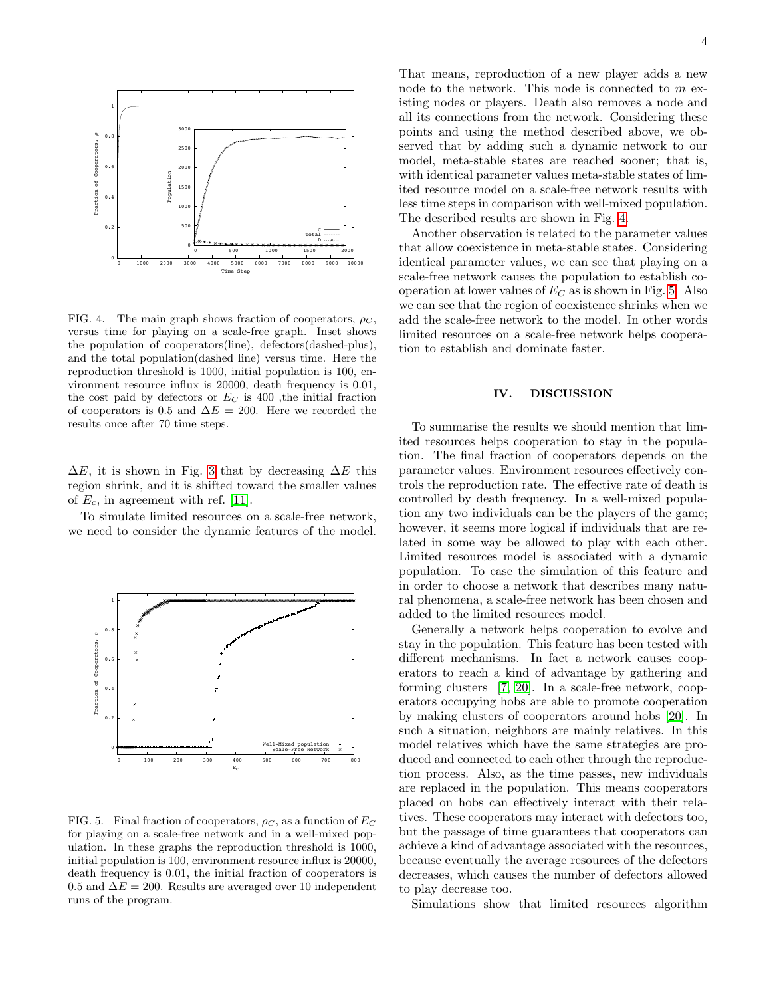

<span id="page-3-0"></span>FIG. 4. The main graph shows fraction of cooperators,  $\rho_C$ , versus time for playing on a scale-free graph. Inset shows the population of cooperators(line), defectors(dashed-plus), and the total population(dashed line) versus time. Here the reproduction threshold is 1000, initial population is 100, environment resource influx is 20000, death frequency is 0.01, the cost paid by defectors or  $E_C$  is 400, the initial fraction of cooperators is 0.5 and  $\Delta E = 200$ . Here we recorded the results once after 70 time steps.

 $\Delta E$ , it is shown in Fig. [3](#page-2-1) that by decreasing  $\Delta E$  this region shrink, and it is shifted toward the smaller values of  $E_c$ , in agreement with ref. [\[11\]](#page-4-7).

To simulate limited resources on a scale-free network, we need to consider the dynamic features of the model.



<span id="page-3-1"></span>FIG. 5. Final fraction of cooperators,  $\rho_C$ , as a function of  $E_C$ for playing on a scale-free network and in a well-mixed population. In these graphs the reproduction threshold is 1000, initial population is 100, environment resource influx is 20000, death frequency is 0.01, the initial fraction of cooperators is 0.5 and  $\Delta E = 200$ . Results are averaged over 10 independent runs of the program.

That means, reproduction of a new player adds a new node to the network. This node is connected to  $m$  existing nodes or players. Death also removes a node and all its connections from the network. Considering these points and using the method described above, we observed that by adding such a dynamic network to our model, meta-stable states are reached sooner; that is, with identical parameter values meta-stable states of limited resource model on a scale-free network results with less time steps in comparison with well-mixed population. The described results are shown in Fig. [4.](#page-3-0)

Another observation is related to the parameter values that allow coexistence in meta-stable states. Considering identical parameter values, we can see that playing on a scale-free network causes the population to establish cooperation at lower values of  $E_C$  as is shown in Fig. [5.](#page-3-1) Also we can see that the region of coexistence shrinks when we add the scale-free network to the model. In other words limited resources on a scale-free network helps cooperation to establish and dominate faster.

# IV. DISCUSSION

To summarise the results we should mention that limited resources helps cooperation to stay in the population. The final fraction of cooperators depends on the parameter values. Environment resources effectively controls the reproduction rate. The effective rate of death is controlled by death frequency. In a well-mixed population any two individuals can be the players of the game; however, it seems more logical if individuals that are related in some way be allowed to play with each other. Limited resources model is associated with a dynamic population. To ease the simulation of this feature and in order to choose a network that describes many natural phenomena, a scale-free network has been chosen and added to the limited resources model.

Generally a network helps cooperation to evolve and stay in the population. This feature has been tested with different mechanisms. In fact a network causes cooperators to reach a kind of advantage by gathering and forming clusters [\[7,](#page-4-3) [20\]](#page-4-14). In a scale-free network, cooperators occupying hobs are able to promote cooperation by making clusters of cooperators around hobs [\[20\]](#page-4-14). In such a situation, neighbors are mainly relatives. In this model relatives which have the same strategies are produced and connected to each other through the reproduction process. Also, as the time passes, new individuals are replaced in the population. This means cooperators placed on hobs can effectively interact with their relatives. These cooperators may interact with defectors too, but the passage of time guarantees that cooperators can achieve a kind of advantage associated with the resources, because eventually the average resources of the defectors decreases, which causes the number of defectors allowed to play decrease too.

Simulations show that limited resources algorithm